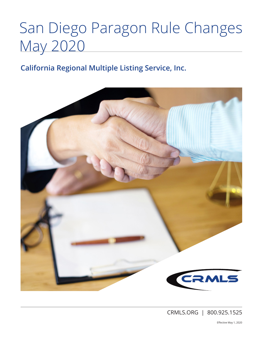# San Diego Paragon Rule Changes May 2020

# **California Regional Multiple Listing Service, Inc.**



CRMLS.ORG | 800.925.1525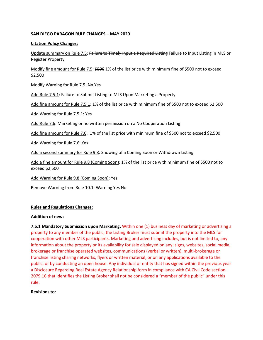# **SAN DIEGO PARAGON RULE CHANGES – MAY 2020**

## **Citation Policy Changes:**

Update summary on Rule 7.5: Failure to Timely Input a Required Listing Failure to Input Listing in MLS or Register Property

Modify fine amount for Rule 7.5: \$500 1% of the list price with minimum fine of \$500 not to exceed \$2,500

Modify Warning for Rule 7.5: No Yes

Add Rule 7.5.1: Failure to Submit Listing to MLS Upon Marketing a Property

Add fine amount for Rule 7.5.1: 1% of the list price with minimum fine of \$500 not to exceed \$2,500

Add Warning for Rule 7.5.1: Yes

Add Rule 7.6: Marketing or no written permission on a No Cooperation Listing

Add fine amount for Rule 7.6: 1% of the list price with minimum fine of \$500 not to exceed \$2,500

Add Warning for Rule 7.6: Yes

Add a second summary for Rule 9.8: Showing of a Coming Soon or Withdrawn Listing

Add a fine amount for Rule 9.8 (Coming Soon): 1% of the list price with minimum fine of \$500 not to exceed \$2,500

Add Warning for Rule 9.8 (Coming Soon): Yes

Remove Warning from Rule 10.1: Warning Yes No

#### **Rules and Regulations Changes:**

#### **Addition of new:**

**7.5.1 Mandatory Submission upon Marketing.** Within one (1) business day of marketing or advertising a property to any member of the public, the Listing Broker must submit the property into the MLS for cooperation with other MLS participants. Marketing and advertising includes, but is not limited to, any information about the property or its availability for sale displayed on any: signs, websites, social media, brokerage or franchise operated websites, communications (verbal or written), multi-brokerage or franchise listing sharing networks, flyers or written material, or on any applications available to the public, or by conducting an open house. Any individual or entity that has signed within the previous year a Disclosure Regarding Real Estate Agency Relationship form in compliance with CA Civil Code section 2079.16 that identifies the Listing Broker shall not be considered a "member of the public" under this rule.

#### **Revisions to:**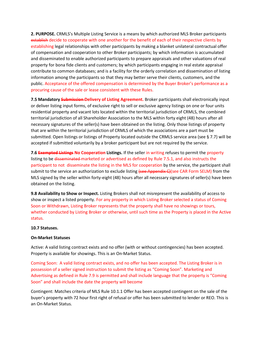**2. PURPOSE.** CRMLS's Multiple Listing Service is a means by which authorized MLS Broker participants establish decide to cooperate with one another for the benefit of each of their respective clients by establishing legal relationships with other participants by making a blanket unilateral contractual offer of compensation and cooperation to other Broker participants; by which information is accumulated and disseminated to enable authorized participants to prepare appraisals and other valuations of real property for bona fide clients and customers; by which participants engaging in real estate appraisal contribute to common databases; and is a facility for the orderly correlation and dissemination of listing information among the participants so that they may better serve their clients, customers, and the public. Acceptance of the offered compensation is determined by the Buyer Broker's performance as a procuring cause of the sale or lease consistent with these Rules.

**7.5 Mandatory Submission Delivery of Listing Agreement.** Broker participants shall electronically input or deliver listing input forms, of exclusive right to sell or exclusive agency listings on one or four units residential property and vacant lots located within the territorial jurisdiction of CRMLS, the combined territorial jurisdiction of all Shareholder Association to the MLS within forty eight (48) hours after all necessary signatures of the seller(s) have been obtained on the listing. Only those listings of property that are within the territorial jurisdiction of CRMLS of which the associations are a part must be submitted. Open listings or listings of Property located outside the CRMLS service area (see § 7.7) will be accepted if submitted voluntarily by a broker participant but are not required by the service.

**7.6 Exempted Listings No Cooperation Listings.** If the seller in writing refuses to permit the property listing to be disseminated marketed or advertised as defined by Rule 7.5.1, and also instructs the participant to not disseminate the listing in the MLS for cooperation by the service, the participant shall submit to the service an authorization to exclude listing (see Appendix C)(see CAR Form SELM) from the MLS signed by the seller within forty-eight (48) hours after all necessary signatures of seller(s) have been obtained on the listing.

**9.8 Availability to Show or Inspect.** Listing Brokers shall not misrepresent the availability of access to show or inspect a listed property. For any property in which Listing Broker selected a status of Coming Soon or Withdrawn, Listing Broker represents that the property shall have no showings or tours, whether conducted by Listing Broker or otherwise, until such time as the Property is placed in the Active status.

# **10.7 Statuses.**

# **On-Market Statuses**

Active: A valid listing contract exists and no offer (with or without contingencies) has been accepted. Property is available for showings. This is an On-Market Status.

Coming Soon: A valid listing contract exists, and no offer has been accepted. The Listing Broker is in possession of a seller signed instruction to submit the listing as "Coming Soon". Marketing and Advertising as defined in Rule 7.9 is permitted and shall include language that the property is "Coming Soon" and shall include the date the property will become

Contingent: Matches criteria of MLS Rule 10.1.1 Offer has been accepted contingent on the sale of the buyer's property with 72 hour first right of refusal or offer has been submitted to lender or REO. This is an On-Market Status.